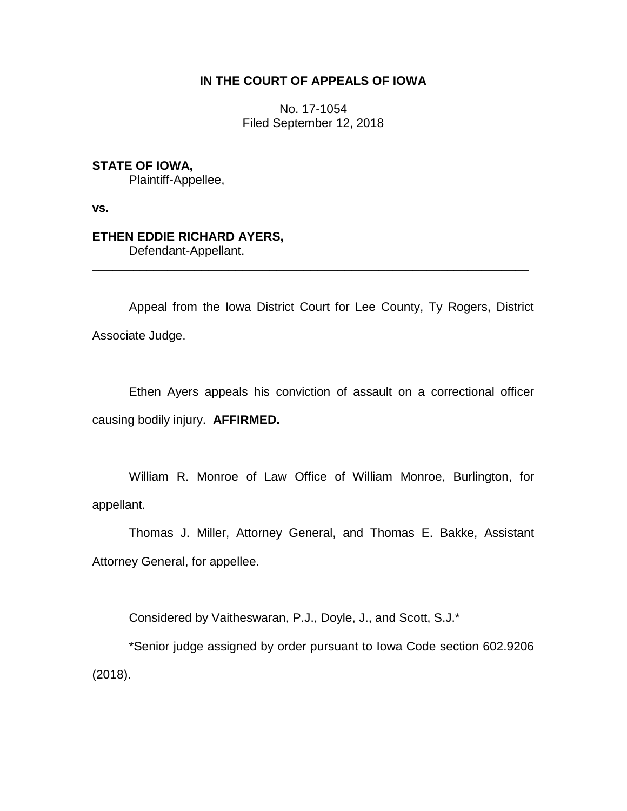# **IN THE COURT OF APPEALS OF IOWA**

No. 17-1054 Filed September 12, 2018

## **STATE OF IOWA,**

Plaintiff-Appellee,

**vs.**

## **ETHEN EDDIE RICHARD AYERS,**

Defendant-Appellant.

Appeal from the Iowa District Court for Lee County, Ty Rogers, District Associate Judge.

\_\_\_\_\_\_\_\_\_\_\_\_\_\_\_\_\_\_\_\_\_\_\_\_\_\_\_\_\_\_\_\_\_\_\_\_\_\_\_\_\_\_\_\_\_\_\_\_\_\_\_\_\_\_\_\_\_\_\_\_\_\_\_\_

Ethen Ayers appeals his conviction of assault on a correctional officer causing bodily injury. **AFFIRMED.** 

William R. Monroe of Law Office of William Monroe, Burlington, for appellant.

Thomas J. Miller, Attorney General, and Thomas E. Bakke, Assistant Attorney General, for appellee.

Considered by Vaitheswaran, P.J., Doyle, J., and Scott, S.J.\*

\*Senior judge assigned by order pursuant to Iowa Code section 602.9206 (2018).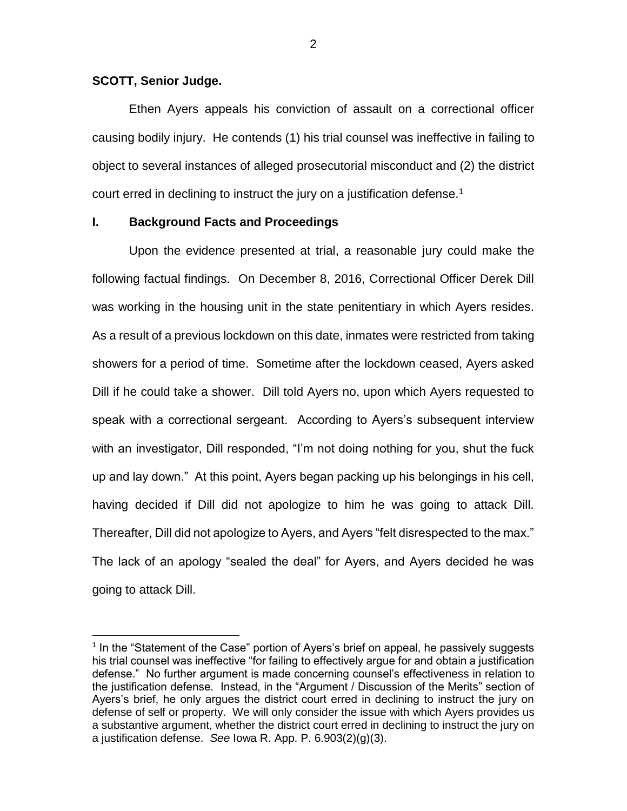### **SCOTT, Senior Judge.**

 $\overline{a}$ 

Ethen Ayers appeals his conviction of assault on a correctional officer causing bodily injury. He contends (1) his trial counsel was ineffective in failing to object to several instances of alleged prosecutorial misconduct and (2) the district court erred in declining to instruct the jury on a justification defense.<sup>1</sup>

## **I. Background Facts and Proceedings**

Upon the evidence presented at trial, a reasonable jury could make the following factual findings. On December 8, 2016, Correctional Officer Derek Dill was working in the housing unit in the state penitentiary in which Ayers resides. As a result of a previous lockdown on this date, inmates were restricted from taking showers for a period of time. Sometime after the lockdown ceased, Ayers asked Dill if he could take a shower. Dill told Ayers no, upon which Ayers requested to speak with a correctional sergeant. According to Ayers's subsequent interview with an investigator, Dill responded, "I'm not doing nothing for you, shut the fuck up and lay down." At this point, Ayers began packing up his belongings in his cell, having decided if Dill did not apologize to him he was going to attack Dill. Thereafter, Dill did not apologize to Ayers, and Ayers "felt disrespected to the max." The lack of an apology "sealed the deal" for Ayers, and Ayers decided he was going to attack Dill.

2

<sup>&</sup>lt;sup>1</sup> In the "Statement of the Case" portion of Ayers's brief on appeal, he passively suggests his trial counsel was ineffective "for failing to effectively argue for and obtain a justification defense." No further argument is made concerning counsel's effectiveness in relation to the justification defense. Instead, in the "Argument / Discussion of the Merits" section of Ayers's brief, he only argues the district court erred in declining to instruct the jury on defense of self or property. We will only consider the issue with which Ayers provides us a substantive argument, whether the district court erred in declining to instruct the jury on a justification defense. *See* Iowa R. App. P. 6.903(2)(g)(3).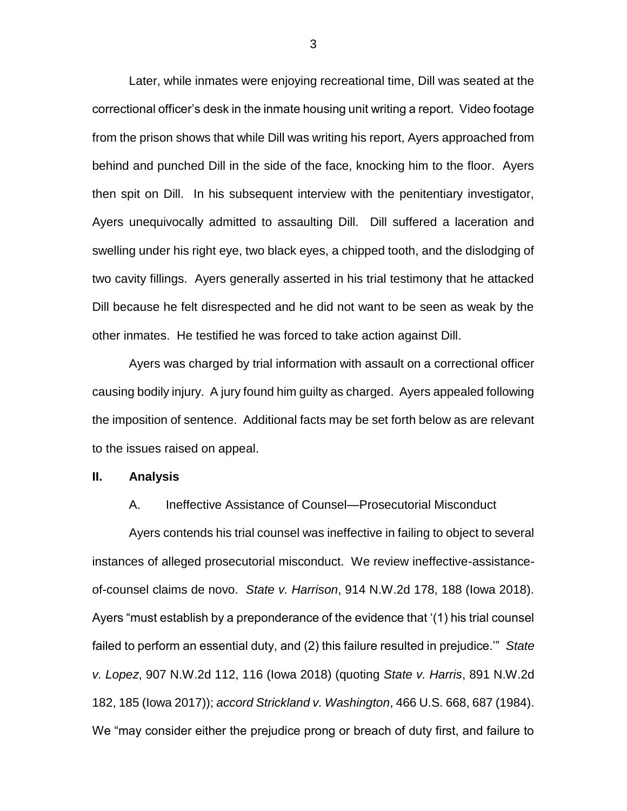Later, while inmates were enjoying recreational time, Dill was seated at the correctional officer's desk in the inmate housing unit writing a report. Video footage from the prison shows that while Dill was writing his report, Ayers approached from behind and punched Dill in the side of the face, knocking him to the floor. Ayers then spit on Dill. In his subsequent interview with the penitentiary investigator, Ayers unequivocally admitted to assaulting Dill. Dill suffered a laceration and swelling under his right eye, two black eyes, a chipped tooth, and the dislodging of two cavity fillings. Ayers generally asserted in his trial testimony that he attacked Dill because he felt disrespected and he did not want to be seen as weak by the other inmates. He testified he was forced to take action against Dill.

Ayers was charged by trial information with assault on a correctional officer causing bodily injury. A jury found him guilty as charged. Ayers appealed following the imposition of sentence. Additional facts may be set forth below as are relevant to the issues raised on appeal.

#### **II. Analysis**

#### A. Ineffective Assistance of Counsel—Prosecutorial Misconduct

Ayers contends his trial counsel was ineffective in failing to object to several instances of alleged prosecutorial misconduct. We review ineffective-assistanceof-counsel claims de novo. *State v. Harrison*, 914 N.W.2d 178, 188 (Iowa 2018). Ayers "must establish by a preponderance of the evidence that '(1) his trial counsel failed to perform an essential duty, and (2) this failure resulted in prejudice.'" *State v. Lopez*, 907 N.W.2d 112, 116 (Iowa 2018) (quoting *State v. Harris*, 891 N.W.2d 182, 185 (Iowa 2017)); *accord Strickland v. Washington*, 466 U.S. 668, 687 (1984). We "may consider either the prejudice prong or breach of duty first, and failure to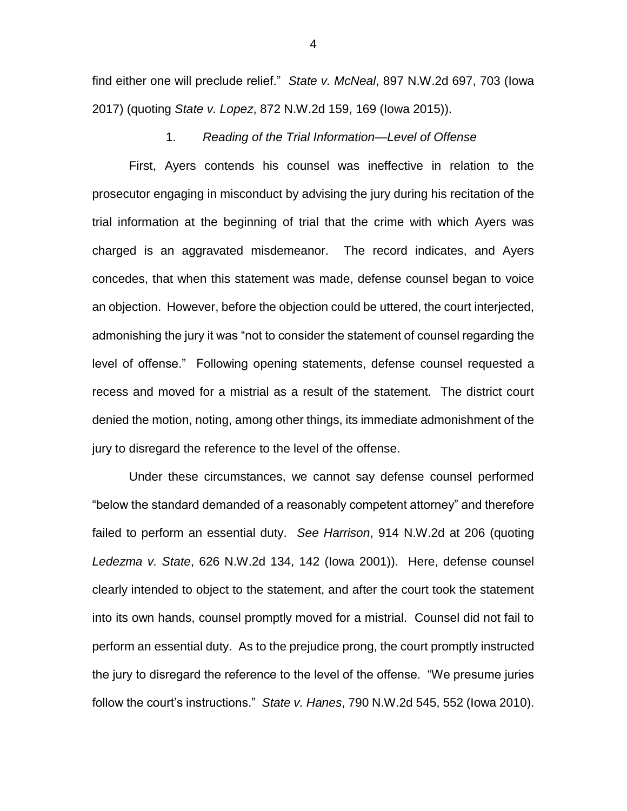find either one will preclude relief." *State v. McNeal*, 897 N.W.2d 697, 703 (Iowa 2017) (quoting *State v. Lopez*, 872 N.W.2d 159, 169 (Iowa 2015)).

1. *Reading of the Trial Information—Level of Offense*

First, Ayers contends his counsel was ineffective in relation to the prosecutor engaging in misconduct by advising the jury during his recitation of the trial information at the beginning of trial that the crime with which Ayers was charged is an aggravated misdemeanor. The record indicates, and Ayers concedes, that when this statement was made, defense counsel began to voice an objection. However, before the objection could be uttered, the court interjected, admonishing the jury it was "not to consider the statement of counsel regarding the level of offense." Following opening statements, defense counsel requested a recess and moved for a mistrial as a result of the statement. The district court denied the motion, noting, among other things, its immediate admonishment of the jury to disregard the reference to the level of the offense.

Under these circumstances, we cannot say defense counsel performed "below the standard demanded of a reasonably competent attorney" and therefore failed to perform an essential duty. *See Harrison*, 914 N.W.2d at 206 (quoting *Ledezma v. State*, 626 N.W.2d 134, 142 (Iowa 2001)). Here, defense counsel clearly intended to object to the statement, and after the court took the statement into its own hands, counsel promptly moved for a mistrial. Counsel did not fail to perform an essential duty. As to the prejudice prong, the court promptly instructed the jury to disregard the reference to the level of the offense. "We presume juries follow the court's instructions." *State v. Hanes*, 790 N.W.2d 545, 552 (Iowa 2010).

4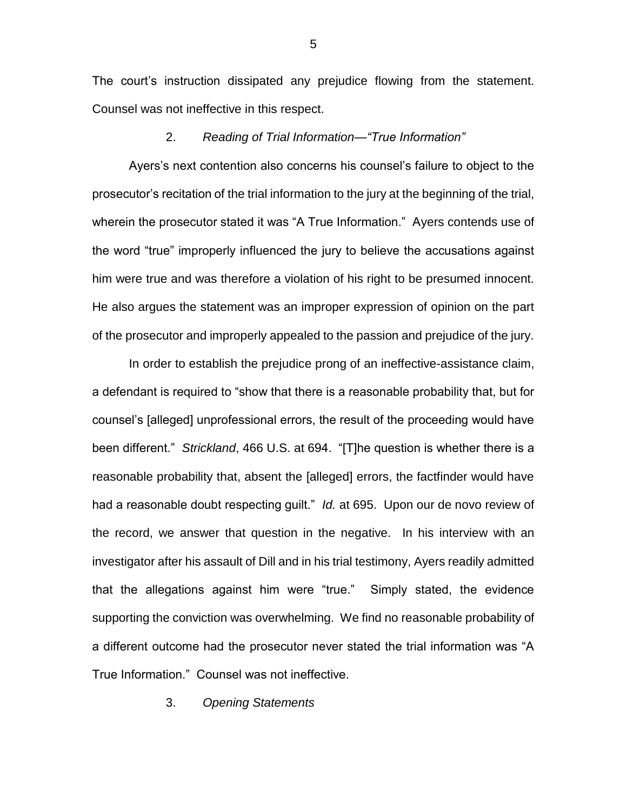The court's instruction dissipated any prejudice flowing from the statement. Counsel was not ineffective in this respect.

### 2. *Reading of Trial Information—"True Information"*

Ayers's next contention also concerns his counsel's failure to object to the prosecutor's recitation of the trial information to the jury at the beginning of the trial, wherein the prosecutor stated it was "A True Information." Ayers contends use of the word "true" improperly influenced the jury to believe the accusations against him were true and was therefore a violation of his right to be presumed innocent. He also argues the statement was an improper expression of opinion on the part of the prosecutor and improperly appealed to the passion and prejudice of the jury.

In order to establish the prejudice prong of an ineffective-assistance claim, a defendant is required to "show that there is a reasonable probability that, but for counsel's [alleged] unprofessional errors, the result of the proceeding would have been different." *Strickland*, 466 U.S. at 694. "[T]he question is whether there is a reasonable probability that, absent the [alleged] errors, the factfinder would have had a reasonable doubt respecting guilt." *Id.* at 695. Upon our de novo review of the record, we answer that question in the negative. In his interview with an investigator after his assault of Dill and in his trial testimony, Ayers readily admitted that the allegations against him were "true." Simply stated, the evidence supporting the conviction was overwhelming. We find no reasonable probability of a different outcome had the prosecutor never stated the trial information was "A True Information." Counsel was not ineffective.

3. *Opening Statements*

5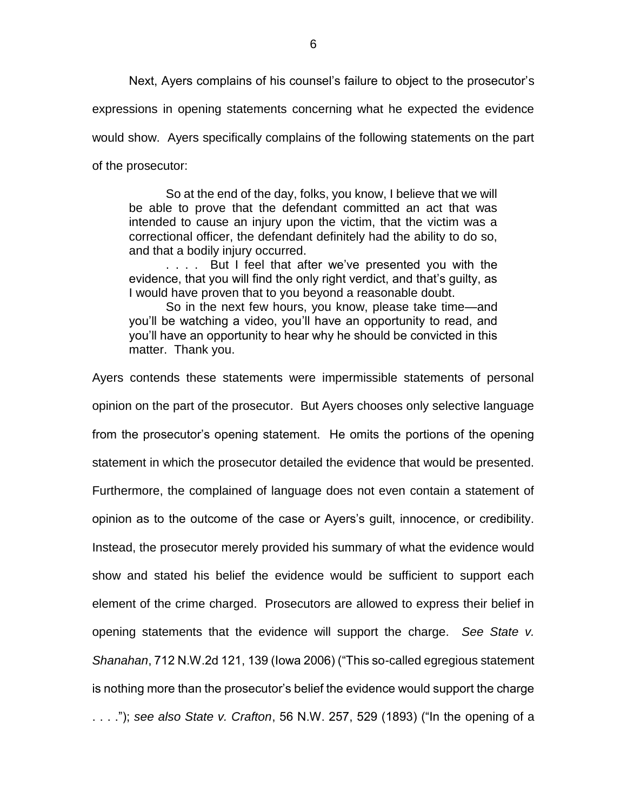Next, Ayers complains of his counsel's failure to object to the prosecutor's

expressions in opening statements concerning what he expected the evidence

would show. Ayers specifically complains of the following statements on the part

of the prosecutor:

So at the end of the day, folks, you know, I believe that we will be able to prove that the defendant committed an act that was intended to cause an injury upon the victim, that the victim was a correctional officer, the defendant definitely had the ability to do so, and that a bodily injury occurred.

. . . . But I feel that after we've presented you with the evidence, that you will find the only right verdict, and that's guilty, as I would have proven that to you beyond a reasonable doubt.

So in the next few hours, you know, please take time—and you'll be watching a video, you'll have an opportunity to read, and you'll have an opportunity to hear why he should be convicted in this matter. Thank you.

Ayers contends these statements were impermissible statements of personal opinion on the part of the prosecutor. But Ayers chooses only selective language from the prosecutor's opening statement. He omits the portions of the opening statement in which the prosecutor detailed the evidence that would be presented. Furthermore, the complained of language does not even contain a statement of opinion as to the outcome of the case or Ayers's guilt, innocence, or credibility. Instead, the prosecutor merely provided his summary of what the evidence would show and stated his belief the evidence would be sufficient to support each element of the crime charged. Prosecutors are allowed to express their belief in opening statements that the evidence will support the charge. *See State v. Shanahan*, 712 N.W.2d 121, 139 (Iowa 2006) ("This so-called egregious statement is nothing more than the prosecutor's belief the evidence would support the charge . . . ."); *see also State v. Crafton*, 56 N.W. 257, 529 (1893) ("In the opening of a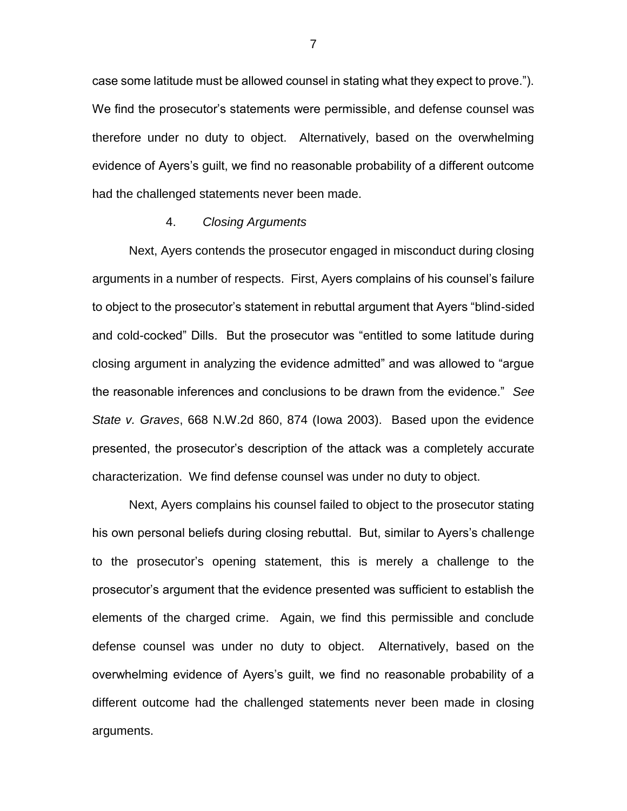case some latitude must be allowed counsel in stating what they expect to prove."). We find the prosecutor's statements were permissible, and defense counsel was therefore under no duty to object. Alternatively, based on the overwhelming evidence of Ayers's guilt, we find no reasonable probability of a different outcome had the challenged statements never been made.

#### 4. *Closing Arguments*

Next, Ayers contends the prosecutor engaged in misconduct during closing arguments in a number of respects. First, Ayers complains of his counsel's failure to object to the prosecutor's statement in rebuttal argument that Ayers "blind-sided and cold-cocked" Dills. But the prosecutor was "entitled to some latitude during closing argument in analyzing the evidence admitted" and was allowed to "argue the reasonable inferences and conclusions to be drawn from the evidence." *See State v. Graves*, 668 N.W.2d 860, 874 (Iowa 2003). Based upon the evidence presented, the prosecutor's description of the attack was a completely accurate characterization. We find defense counsel was under no duty to object.

Next, Ayers complains his counsel failed to object to the prosecutor stating his own personal beliefs during closing rebuttal. But, similar to Ayers's challenge to the prosecutor's opening statement, this is merely a challenge to the prosecutor's argument that the evidence presented was sufficient to establish the elements of the charged crime. Again, we find this permissible and conclude defense counsel was under no duty to object. Alternatively, based on the overwhelming evidence of Ayers's guilt, we find no reasonable probability of a different outcome had the challenged statements never been made in closing arguments.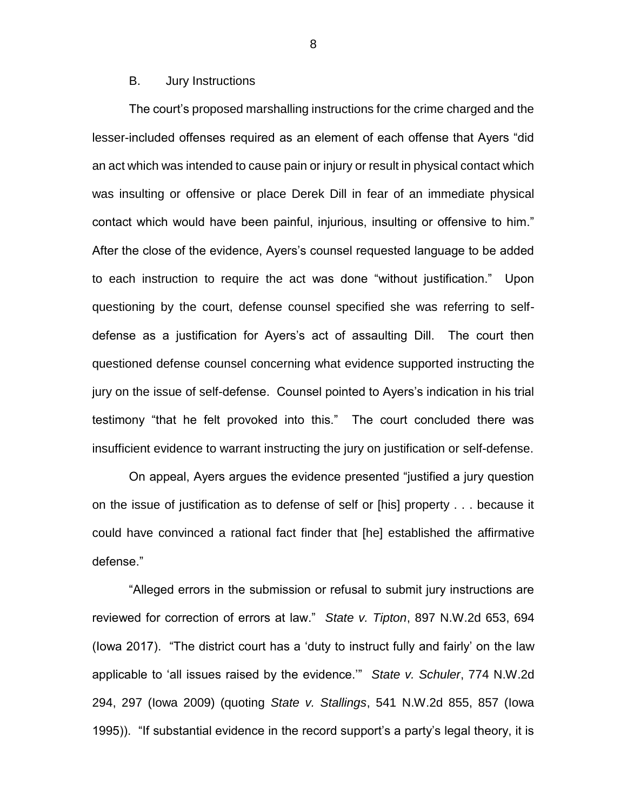## B. Jury Instructions

The court's proposed marshalling instructions for the crime charged and the lesser-included offenses required as an element of each offense that Ayers "did an act which was intended to cause pain or injury or result in physical contact which was insulting or offensive or place Derek Dill in fear of an immediate physical contact which would have been painful, injurious, insulting or offensive to him." After the close of the evidence, Ayers's counsel requested language to be added to each instruction to require the act was done "without justification." Upon questioning by the court, defense counsel specified she was referring to selfdefense as a justification for Ayers's act of assaulting Dill. The court then questioned defense counsel concerning what evidence supported instructing the jury on the issue of self-defense. Counsel pointed to Ayers's indication in his trial testimony "that he felt provoked into this." The court concluded there was insufficient evidence to warrant instructing the jury on justification or self-defense.

On appeal, Ayers argues the evidence presented "justified a jury question on the issue of justification as to defense of self or [his] property . . . because it could have convinced a rational fact finder that [he] established the affirmative defense."

"Alleged errors in the submission or refusal to submit jury instructions are reviewed for correction of errors at law." *State v. Tipton*, 897 N.W.2d 653, 694 (Iowa 2017). "The district court has a 'duty to instruct fully and fairly' on the law applicable to 'all issues raised by the evidence.'" *State v. Schuler*, 774 N.W.2d 294, 297 (Iowa 2009) (quoting *State v. Stallings*, 541 N.W.2d 855, 857 (Iowa 1995)). "If substantial evidence in the record support's a party's legal theory, it is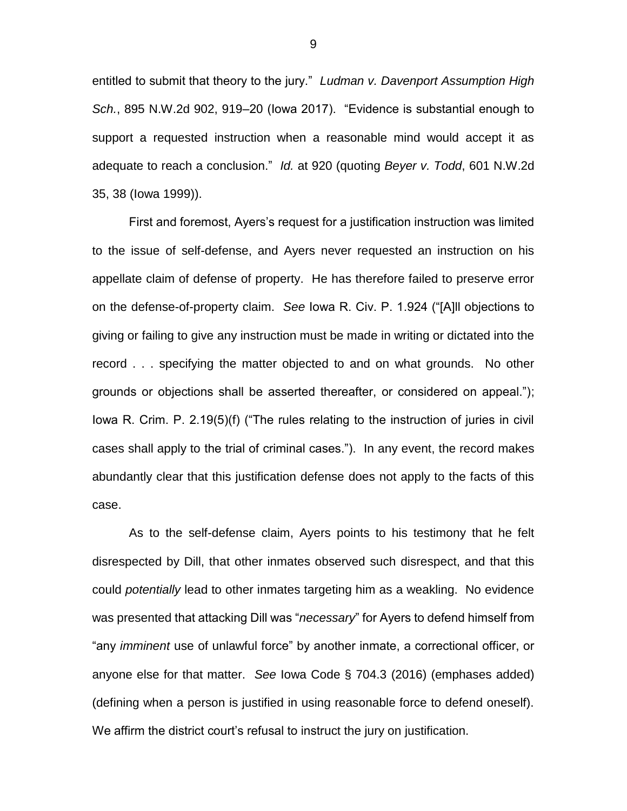entitled to submit that theory to the jury." *Ludman v. Davenport Assumption High Sch.*, 895 N.W.2d 902, 919–20 (Iowa 2017). "Evidence is substantial enough to support a requested instruction when a reasonable mind would accept it as adequate to reach a conclusion." *Id.* at 920 (quoting *Beyer v. Todd*, 601 N.W.2d 35, 38 (Iowa 1999)).

First and foremost, Ayers's request for a justification instruction was limited to the issue of self-defense, and Ayers never requested an instruction on his appellate claim of defense of property. He has therefore failed to preserve error on the defense-of-property claim. *See* Iowa R. Civ. P. 1.924 ("[A]ll objections to giving or failing to give any instruction must be made in writing or dictated into the record . . . specifying the matter objected to and on what grounds. No other grounds or objections shall be asserted thereafter, or considered on appeal."); Iowa R. Crim. P. 2.19(5)(f) ("The rules relating to the instruction of juries in civil cases shall apply to the trial of criminal cases."). In any event, the record makes abundantly clear that this justification defense does not apply to the facts of this case.

As to the self-defense claim, Ayers points to his testimony that he felt disrespected by Dill, that other inmates observed such disrespect, and that this could *potentially* lead to other inmates targeting him as a weakling. No evidence was presented that attacking Dill was "*necessary*" for Ayers to defend himself from "any *imminent* use of unlawful force" by another inmate, a correctional officer, or anyone else for that matter. *See* Iowa Code § 704.3 (2016) (emphases added) (defining when a person is justified in using reasonable force to defend oneself). We affirm the district court's refusal to instruct the jury on justification.